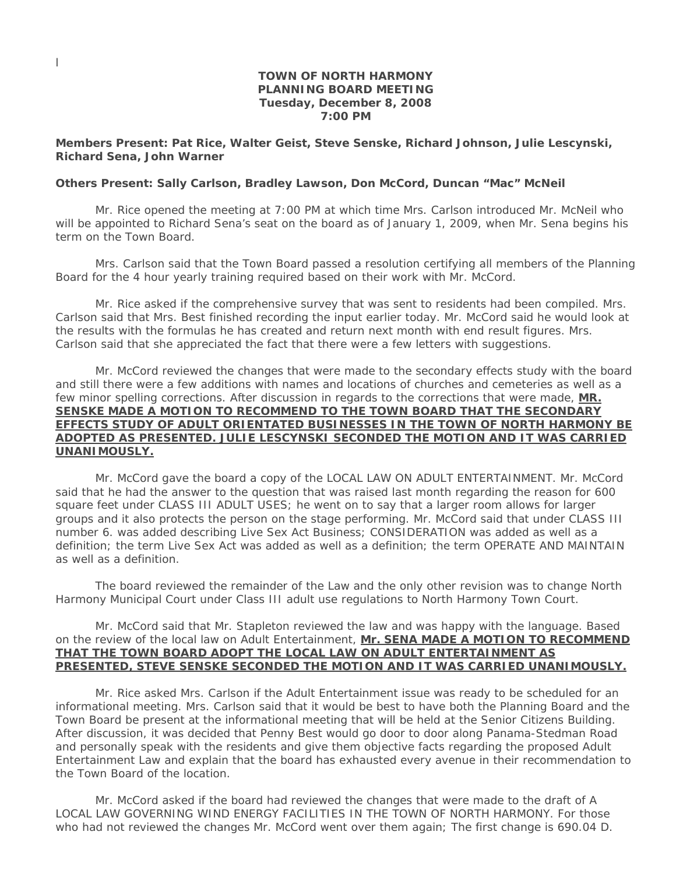## **TOWN OF NORTH HARMONY PLANNING BOARD MEETING Tuesday, December 8, 2008 7:00 PM**

**Members Present: Pat Rice, Walter Geist, Steve Senske, Richard Johnson, Julie Lescynski, Richard Sena, John Warner** 

## **Others Present: Sally Carlson, Bradley Lawson, Don McCord, Duncan "Mac" McNeil**

 Mr. Rice opened the meeting at 7:00 PM at which time Mrs. Carlson introduced Mr. McNeil who will be appointed to Richard Sena's seat on the board as of January 1, 2009, when Mr. Sena begins his term on the Town Board.

 Mrs. Carlson said that the Town Board passed a resolution certifying all members of the Planning Board for the 4 hour yearly training required based on their work with Mr. McCord.

 Mr. Rice asked if the comprehensive survey that was sent to residents had been compiled. Mrs. Carlson said that Mrs. Best finished recording the input earlier today. Mr. McCord said he would look at the results with the formulas he has created and return next month with end result figures. Mrs. Carlson said that she appreciated the fact that there were a few letters with suggestions.

 Mr. McCord reviewed the changes that were made to the secondary effects study with the board and still there were a few additions with names and locations of churches and cemeteries as well as a few minor spelling corrections. After discussion in regards to the corrections that were made, **MR. SENSKE MADE A MOTION TO RECOMMEND TO THE TOWN BOARD THAT THE SECONDARY EFFECTS STUDY OF ADULT ORIENTATED BUSINESSES IN THE TOWN OF NORTH HARMONY BE ADOPTED AS PRESENTED. JULIE LESCYNSKI SECONDED THE MOTION AND IT WAS CARRIED UNANIMOUSLY.**

 Mr. McCord gave the board a copy of the LOCAL LAW ON ADULT ENTERTAINMENT. Mr. McCord said that he had the answer to the question that was raised last month regarding the reason for 600 square feet under CLASS III ADULT USES; he went on to say that a larger room allows for larger groups and it also protects the person on the stage performing. Mr. McCord said that under CLASS III number 6. was added describing Live Sex Act Business; CONSIDERATION was added as well as a definition; the term Live Sex Act was added as well as a definition; the term OPERATE AND MAINTAIN as well as a definition.

 The board reviewed the remainder of the Law and the only other revision was to change North Harmony Municipal Court under Class III adult use regulations to North Harmony Town Court.

 Mr. McCord said that Mr. Stapleton reviewed the law and was happy with the language. Based on the review of the local law on Adult Entertainment, **Mr. SENA MADE A MOTION TO RECOMMEND THAT THE TOWN BOARD ADOPT THE LOCAL LAW ON ADULT ENTERTAINMENT AS PRESENTED, STEVE SENSKE SECONDED THE MOTION AND IT WAS CARRIED UNANIMOUSLY.**

 Mr. Rice asked Mrs. Carlson if the Adult Entertainment issue was ready to be scheduled for an informational meeting. Mrs. Carlson said that it would be best to have both the Planning Board and the Town Board be present at the informational meeting that will be held at the Senior Citizens Building. After discussion, it was decided that Penny Best would go door to door along Panama-Stedman Road and personally speak with the residents and give them objective facts regarding the proposed Adult Entertainment Law and explain that the board has exhausted every avenue in their recommendation to the Town Board of the location.

 Mr. McCord asked if the board had reviewed the changes that were made to the draft of A LOCAL LAW GOVERNING WIND ENERGY FACILITIES IN THE TOWN OF NORTH HARMONY. For those who had not reviewed the changes Mr. McCord went over them again; The first change is 690.04 D.